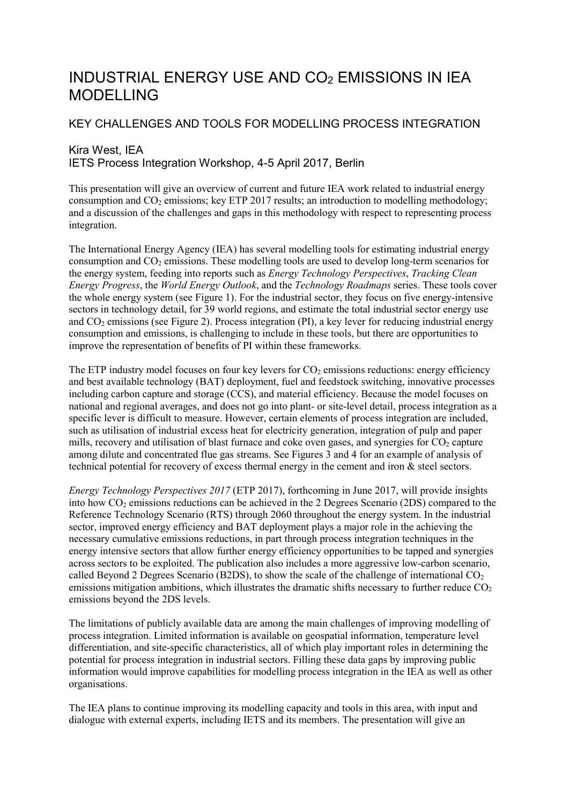# INDUSTRIAL ENERGY USE AND CO<sub>2</sub> EMISSIONS IN IEA MODELLING

## KEY CHALLENGES AND TOOLS FOR MODELLING PROCESS INTEGRATION

### Kira West, IEA

IETS Process Integration Workshop, 4-5 April 2017, Berlin

This presentation will give an overview of current and future IEA work related to industrial energy consumption and  $CO_2$  emissions; key ETP 2017 results; an introduction to modelling methodology; and a discussion of the challenges and gaps in this methodology with respect to representing process integration.

The International Energy Agency (IEA) has several modelling tools for estimating industrial energy consumption and  $CO<sub>2</sub>$  emissions. These modelling tools are used to develop long-term scenarios for the energy system, feeding into reports such as *Energy Technology Perspectives*, *Tracking Clean Energy Progress*, the *World Energy Outlook*, and the *Technology Roadmaps* series. These tools cover the whole energy system (see Figure 1). For the industrial sector, they focus on five energy-intensive sectors in technology detail, for 39 world regions, and estimate the total industrial sector energy use and  $CO<sub>2</sub>$  emissions (see Figure 2). Process integration (PI), a key lever for reducing industrial energy consumption and emissions, is challenging to include in these tools, but there are opportunities to improve the representation of benefits of PI within these frameworks.

The ETP industry model focuses on four key levers for  $CO<sub>2</sub>$  emissions reductions: energy efficiency and best available technology (BAT) deployment, fuel and feedstock switching, innovative processes including carbon capture and storage (CCS), and material efficiency. Because the model focuses on national and regional averages, and does not go into plant- or site-level detail, process integration as a specific lever is difficult to measure. However, certain elements of process integration are included, such as utilisation of industrial excess heat for electricity generation, integration of pulp and paper mills, recovery and utilisation of blast furnace and coke oven gases, and synergies for  $CO<sub>2</sub>$  capture among dilute and concentrated flue gas streams. See Figures 3 and 4 for an example of analysis of technical potential for recovery of excess thermal energy in the cement and iron & steel sectors.

*Energy Technology Perspectives 2017* (ETP 2017), forthcoming in June 2017, will provide insights into how  $CO<sub>2</sub>$  emissions reductions can be achieved in the 2 Degrees Scenario (2DS) compared to the Reference Technology Scenario (RTS) through 2060 throughout the energy system. In the industrial sector, improved energy efficiency and BAT deployment plays a major role in the achieving the necessary cumulative emissions reductions, in part through process integration techniques in the energy intensive sectors that allow further energy efficiency opportunities to be tapped and synergies across sectors to be exploited. The publication also includes a more aggressive low-carbon scenario, called Beyond 2 Degrees Scenario (B2DS), to show the scale of the challenge of international CO<sub>2</sub> emissions mitigation ambitions, which illustrates the dramatic shifts necessary to further reduce  $CO<sub>2</sub>$ emissions beyond the 2DS levels.

The limitations of publicly available data are among the main challenges of improving modelling of process integration. Limited information is available on geospatial information, temperature level differentiation, and site-specific characteristics, all of which play important roles in determining the potential for process integration in industrial sectors. Filling these data gaps by improving public information would improve capabilities for modelling process integration in the IEA as well as other organisations.

The IEA plans to continue improving its modelling capacity and tools in this area, with input and dialogue with external experts, including IETS and its members. The presentation will give an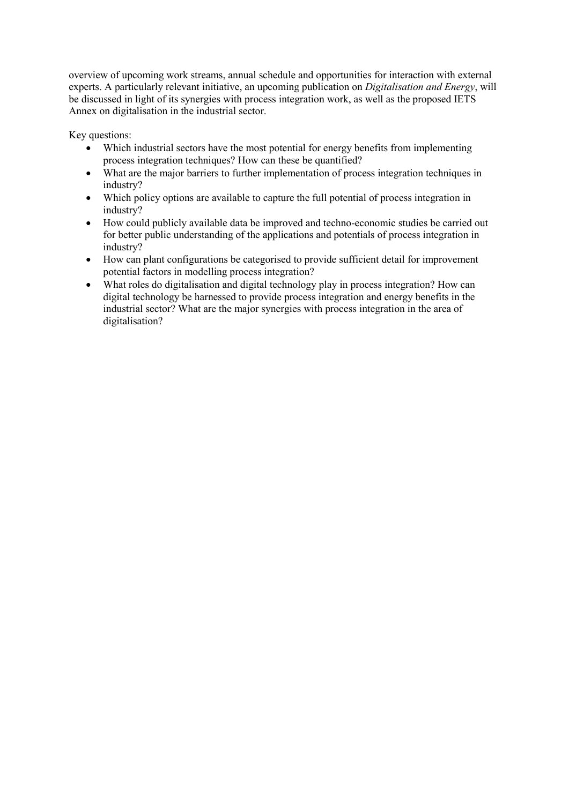overview of upcoming work streams, annual schedule and opportunities for interaction with external experts. A particularly relevant initiative, an upcoming publication on *Digitalisation and Energy*, will be discussed in light of its synergies with process integration work, as well as the proposed IETS Annex on digitalisation in the industrial sector.

Key questions:

- Which industrial sectors have the most potential for energy benefits from implementing process integration techniques? How can these be quantified?
- What are the major barriers to further implementation of process integration techniques in industry?
- Which policy options are available to capture the full potential of process integration in industry?
- How could publicly available data be improved and techno-economic studies be carried out for better public understanding of the applications and potentials of process integration in industry?
- How can plant configurations be categorised to provide sufficient detail for improvement potential factors in modelling process integration?
- What roles do digitalisation and digital technology play in process integration? How can digital technology be harnessed to provide process integration and energy benefits in the industrial sector? What are the major synergies with process integration in the area of digitalisation?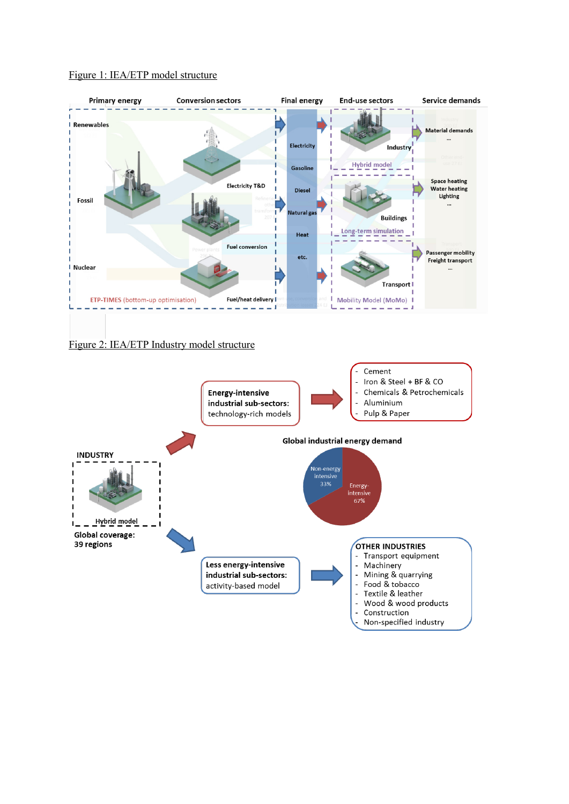### Figure 1: IEA/ETP model structure